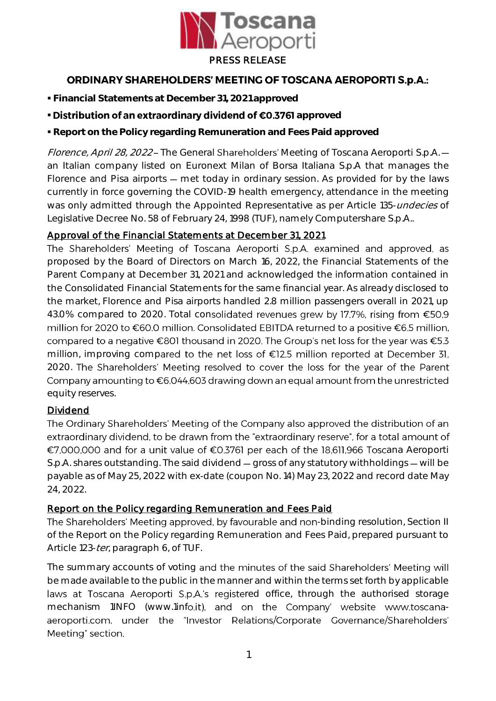

## **ORDINARY SHAREHOLDERS' MEETING OF TOSCANA AEROPORTI S.p.A.:**

- **Financial Statements at December 31, 2021 approved**
- **· Distribution of an extraordinary dividend of €0.3761** approved
- **Report on the Policy regarding Remuneration and Fees Paid approved**

Florence, April 28, 2022 - The General Shareholders' Meeting of Toscana Aeroporti S.p.A. an Italian company listed on Euronext Milan of Borsa Italiana S.p.A that manages the Florence and Pisa airports – met today in ordinary session. As provided for by the laws currently in force governing the COVID-19 health emergency, attendance in the meeting was only admitted through the Appointed Representative as per Article 135-undecies of Legislative Decree No. 58 of February 24, 1998 (TUF), namely Computershare S.p.A..

## Approval of the Financial Statements at December 31, 2021

The Shareholders' Meeting of Toscana Aeroporti S.p.A. examined and approved, as proposed by the Board of Directors on March 16, 2022, the Financial Statements of the Parent Company at December 31, 2021 and acknowledged the information contained in the Consolidated Financial Statements for the same financial year. As already disclosed to the market, Florence and Pisa airports handled 2.8 million passengers overall in 2021, up 43.0% compared to 2020. Total consolidated revenues grew by 17.7%, rising from €50.9 million for 2020 to €60.0 million. Consolidated EBITDA returned to a positive €6.5 million, compared to a negative €801 thousand in 2020. The Group's net loss for the year was €5.3 million, improving compared to the net loss of €12.5 million reported at December 31, 2020. The Shareholders' Meeting resolved to cover the loss for the year of the Parent Company amounting to  $\epsilon$ 6,044,603 drawing down an equal amount from the unrestricted equity reserves.

## Dividend

The Ordinary Shareholders' Meeting of the Company also approved the distribution of an extraordinary dividend, to be drawn from the "extraordinary reserve", for a total amount of €7,000,000 and for a unit value of €0.3761 per each of the 18,611,966 Toscana Aeroporti S.p.A. shares outstanding. The said dividend  $-$  gross of any statutory withholdings  $-$  will be payable as of May 25, 2022 with ex-date (coupon No. 14) May 23, 2022 and record date May 24, 2022.

## Report on the Policy regarding Remuneration and Fees Paid

The Shareholders' Meeting approved, by favourable and non-binding resolution, Section II of the Report on the Policy regarding Remuneration and Fees Paid, prepared pursuant to Article 123-*ter*, paragraph 6, of TUF.

The summary accounts of voting and the minutes of the said Shareholders' Meeting will be made available to the public in the manner and within the terms set forth by applicable laws at Toscana Aeroporti S.p.A.'s registered office, through the authorised storage mechanism 1INFO (www.1info.it), and on the Company' website www.toscanaaeroporti.com, under the "Investor Relations/Corporate Governance/Shareholders' Meeting" section.